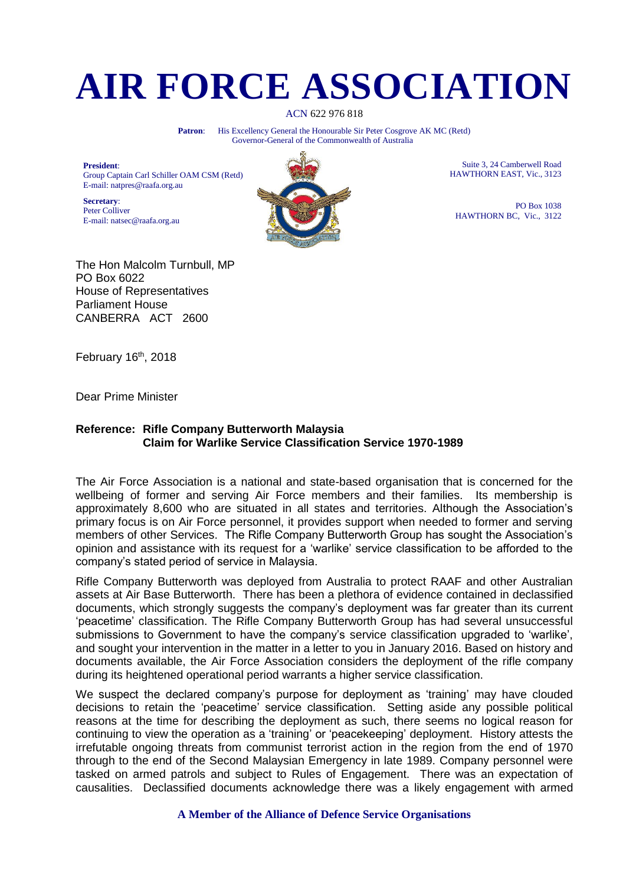## **AIR FORCE ASSOCIATION**

ACN 622 976 818

Patron: His Excellency General the Honourable Sir Peter Cosgrove AK MC (Retd) Governor-General of the Commonwealth of Australia

**President**: Group Captain Carl Schiller OAM CSM (Retd) E-mail: natpres@raafa.org.au

**Secretary**: Peter Colliver E-mail: natsec@raafa.org.au



Suite 3, 24 Camberwell Road HAWTHORN EAST, Vic., 3123

PO Box 1038 HAWTHORN BC, Vic., 3122

The Hon Malcolm Turnbull, MP PO Box 6022 House of Representatives Parliament House CANBERRA ACT 2600

February  $16<sup>th</sup>$ , 2018

Dear Prime Minister

## **Reference: Rifle Company Butterworth Malaysia Claim for Warlike Service Classification Service 1970-1989**

The Air Force Association is a national and state-based organisation that is concerned for the wellbeing of former and serving Air Force members and their families. Its membership is approximately 8,600 who are situated in all states and territories. Although the Association's primary focus is on Air Force personnel, it provides support when needed to former and serving members of other Services. The Rifle Company Butterworth Group has sought the Association's opinion and assistance with its request for a 'warlike' service classification to be afforded to the company's stated period of service in Malaysia.

Rifle Company Butterworth was deployed from Australia to protect RAAF and other Australian assets at Air Base Butterworth. There has been a plethora of evidence contained in declassified documents, which strongly suggests the company's deployment was far greater than its current 'peacetime' classification. The Rifle Company Butterworth Group has had several unsuccessful submissions to Government to have the company's service classification upgraded to 'warlike', and sought your intervention in the matter in a letter to you in January 2016. Based on history and documents available, the Air Force Association considers the deployment of the rifle company during its heightened operational period warrants a higher service classification.

We suspect the declared company's purpose for deployment as 'training' may have clouded decisions to retain the 'peacetime' service classification. Setting aside any possible political reasons at the time for describing the deployment as such, there seems no logical reason for continuing to view the operation as a 'training' or 'peacekeeping' deployment. History attests the irrefutable ongoing threats from communist terrorist action in the region from the end of 1970 through to the end of the Second Malaysian Emergency in late 1989. Company personnel were tasked on armed patrols and subject to Rules of Engagement. There was an expectation of causalities. Declassified documents acknowledge there was a likely engagement with armed

**A Member of the Alliance of Defence Service Organisations**